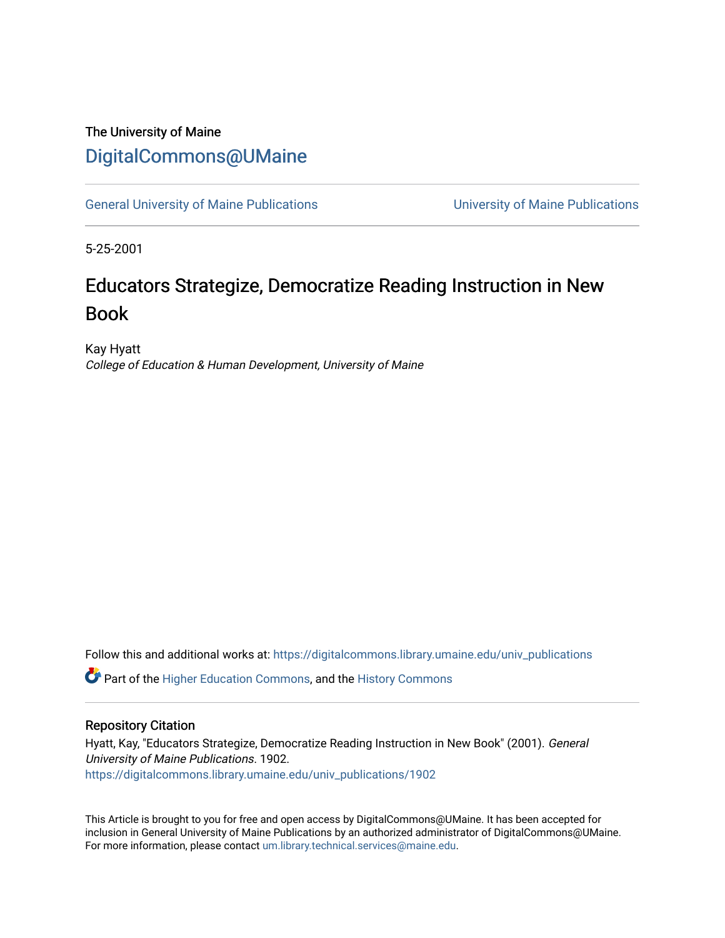### The University of Maine [DigitalCommons@UMaine](https://digitalcommons.library.umaine.edu/)

[General University of Maine Publications](https://digitalcommons.library.umaine.edu/univ_publications) [University of Maine Publications](https://digitalcommons.library.umaine.edu/umaine_publications) 

5-25-2001

## Educators Strategize, Democratize Reading Instruction in New Book

Kay Hyatt College of Education & Human Development, University of Maine

Follow this and additional works at: [https://digitalcommons.library.umaine.edu/univ\\_publications](https://digitalcommons.library.umaine.edu/univ_publications?utm_source=digitalcommons.library.umaine.edu%2Funiv_publications%2F1902&utm_medium=PDF&utm_campaign=PDFCoverPages) 

**C** Part of the [Higher Education Commons,](http://network.bepress.com/hgg/discipline/1245?utm_source=digitalcommons.library.umaine.edu%2Funiv_publications%2F1902&utm_medium=PDF&utm_campaign=PDFCoverPages) and the [History Commons](http://network.bepress.com/hgg/discipline/489?utm_source=digitalcommons.library.umaine.edu%2Funiv_publications%2F1902&utm_medium=PDF&utm_campaign=PDFCoverPages)

#### Repository Citation

Hyatt, Kay, "Educators Strategize, Democratize Reading Instruction in New Book" (2001). General University of Maine Publications. 1902. [https://digitalcommons.library.umaine.edu/univ\\_publications/1902](https://digitalcommons.library.umaine.edu/univ_publications/1902?utm_source=digitalcommons.library.umaine.edu%2Funiv_publications%2F1902&utm_medium=PDF&utm_campaign=PDFCoverPages)

This Article is brought to you for free and open access by DigitalCommons@UMaine. It has been accepted for inclusion in General University of Maine Publications by an authorized administrator of DigitalCommons@UMaine. For more information, please contact [um.library.technical.services@maine.edu](mailto:um.library.technical.services@maine.edu).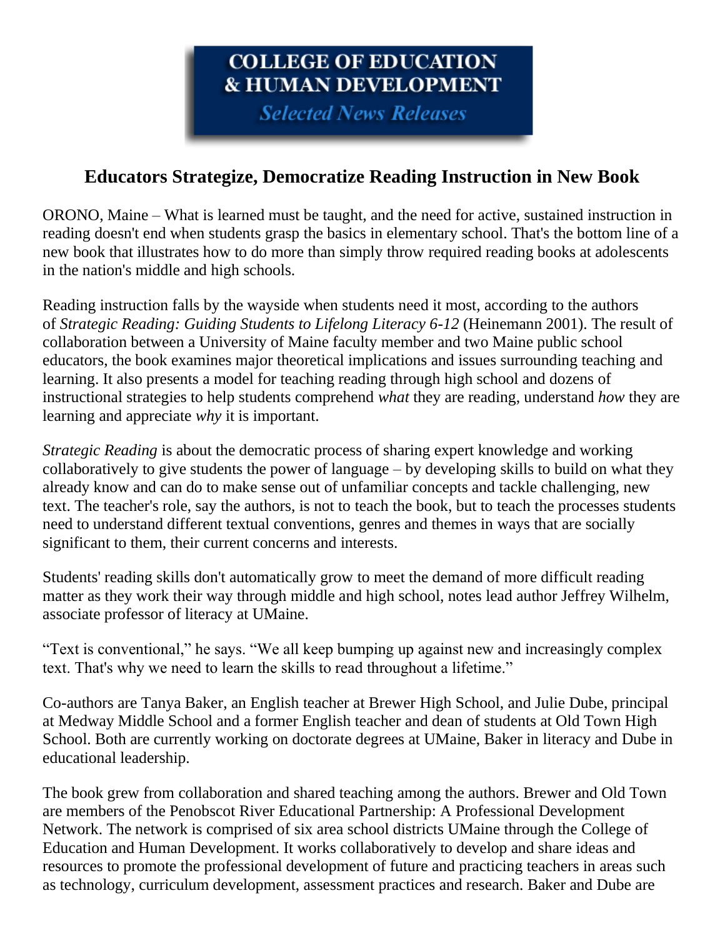# COLLEGE OF EDUCATION **& HUMAN DEVELOPMENT**

**Selected News Releases** 

### **Educators Strategize, Democratize Reading Instruction in New Book**

ORONO, Maine – What is learned must be taught, and the need for active, sustained instruction in reading doesn't end when students grasp the basics in elementary school. That's the bottom line of a new book that illustrates how to do more than simply throw required reading books at adolescents in the nation's middle and high schools.

Reading instruction falls by the wayside when students need it most, according to the authors of *Strategic Reading: Guiding Students to Lifelong Literacy 6-12* (Heinemann 2001). The result of collaboration between a University of Maine faculty member and two Maine public school educators, the book examines major theoretical implications and issues surrounding teaching and learning. It also presents a model for teaching reading through high school and dozens of instructional strategies to help students comprehend *what* they are reading, understand *how* they are learning and appreciate *why* it is important.

*Strategic Reading* is about the democratic process of sharing expert knowledge and working collaboratively to give students the power of language – by developing skills to build on what they already know and can do to make sense out of unfamiliar concepts and tackle challenging, new text. The teacher's role, say the authors, is not to teach the book, but to teach the processes students need to understand different textual conventions, genres and themes in ways that are socially significant to them, their current concerns and interests.

Students' reading skills don't automatically grow to meet the demand of more difficult reading matter as they work their way through middle and high school, notes lead author Jeffrey Wilhelm, associate professor of literacy at UMaine.

"Text is conventional," he says. "We all keep bumping up against new and increasingly complex text. That's why we need to learn the skills to read throughout a lifetime."

Co-authors are Tanya Baker, an English teacher at Brewer High School, and Julie Dube, principal at Medway Middle School and a former English teacher and dean of students at Old Town High School. Both are currently working on doctorate degrees at UMaine, Baker in literacy and Dube in educational leadership.

The book grew from collaboration and shared teaching among the authors. Brewer and Old Town are members of the Penobscot River Educational Partnership: A Professional Development Network. The network is comprised of six area school districts UMaine through the College of Education and Human Development. It works collaboratively to develop and share ideas and resources to promote the professional development of future and practicing teachers in areas such as technology, curriculum development, assessment practices and research. Baker and Dube are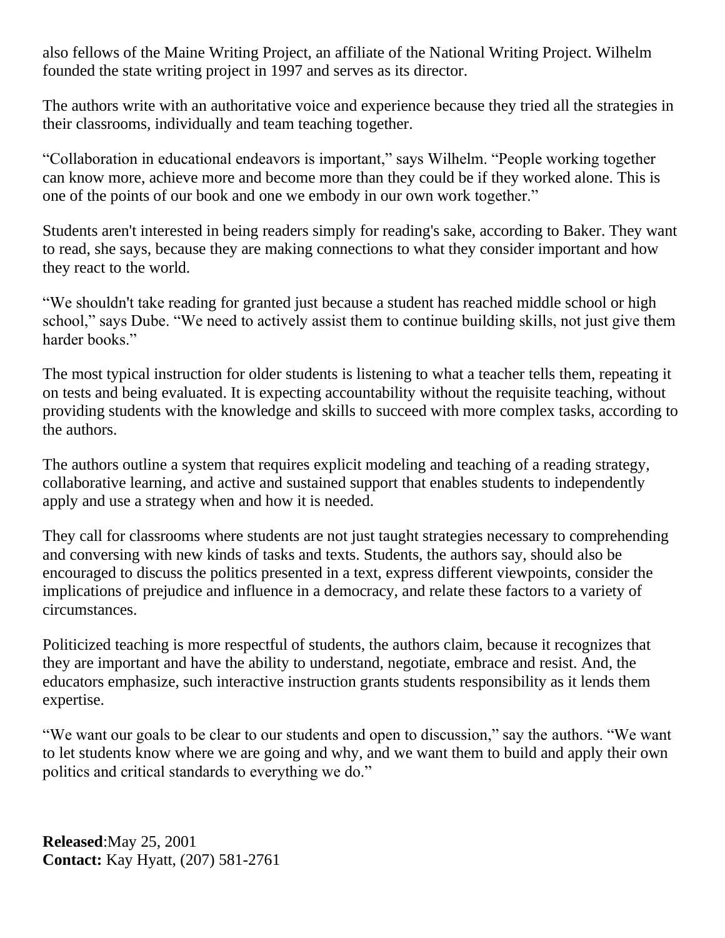also fellows of the Maine Writing Project, an affiliate of the National Writing Project. Wilhelm founded the state writing project in 1997 and serves as its director.

The authors write with an authoritative voice and experience because they tried all the strategies in their classrooms, individually and team teaching together.

"Collaboration in educational endeavors is important," says Wilhelm. "People working together can know more, achieve more and become more than they could be if they worked alone. This is one of the points of our book and one we embody in our own work together."

Students aren't interested in being readers simply for reading's sake, according to Baker. They want to read, she says, because they are making connections to what they consider important and how they react to the world.

"We shouldn't take reading for granted just because a student has reached middle school or high school," says Dube. "We need to actively assist them to continue building skills, not just give them harder books."

The most typical instruction for older students is listening to what a teacher tells them, repeating it on tests and being evaluated. It is expecting accountability without the requisite teaching, without providing students with the knowledge and skills to succeed with more complex tasks, according to the authors.

The authors outline a system that requires explicit modeling and teaching of a reading strategy, collaborative learning, and active and sustained support that enables students to independently apply and use a strategy when and how it is needed.

They call for classrooms where students are not just taught strategies necessary to comprehending and conversing with new kinds of tasks and texts. Students, the authors say, should also be encouraged to discuss the politics presented in a text, express different viewpoints, consider the implications of prejudice and influence in a democracy, and relate these factors to a variety of circumstances.

Politicized teaching is more respectful of students, the authors claim, because it recognizes that they are important and have the ability to understand, negotiate, embrace and resist. And, the educators emphasize, such interactive instruction grants students responsibility as it lends them expertise.

"We want our goals to be clear to our students and open to discussion," say the authors. "We want to let students know where we are going and why, and we want them to build and apply their own politics and critical standards to everything we do."

**Released**:May 25, 2001 **Contact:** Kay Hyatt, (207) 581-2761